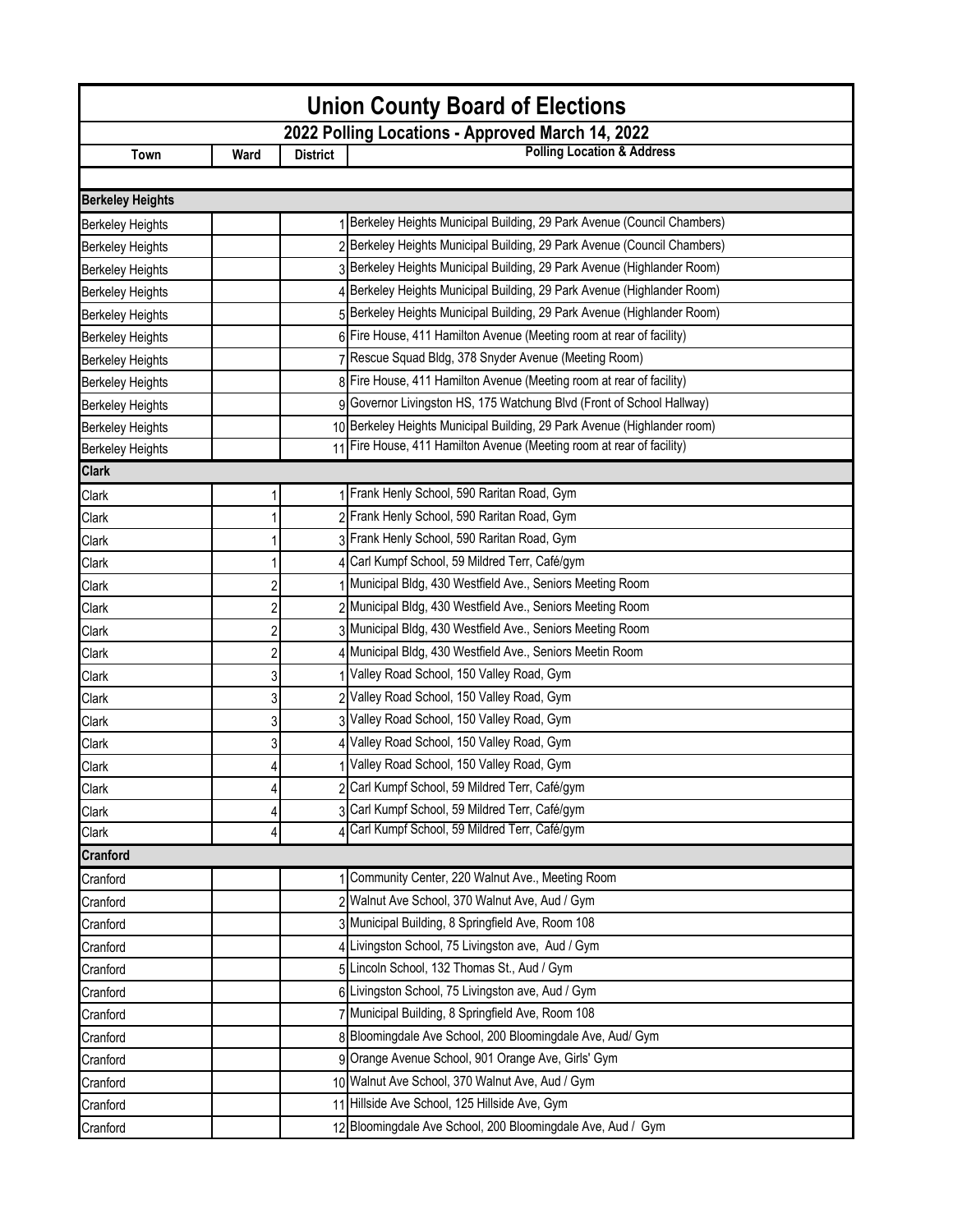| <b>Union County Board of Elections</b> |                                                  |                 |                                                                          |  |  |  |
|----------------------------------------|--------------------------------------------------|-----------------|--------------------------------------------------------------------------|--|--|--|
|                                        | 2022 Polling Locations - Approved March 14, 2022 |                 |                                                                          |  |  |  |
| Town                                   | Ward                                             | <b>District</b> | <b>Polling Location &amp; Address</b>                                    |  |  |  |
|                                        |                                                  |                 |                                                                          |  |  |  |
| <b>Berkeley Heights</b>                |                                                  |                 |                                                                          |  |  |  |
| <b>Berkeley Heights</b>                |                                                  |                 | 1 Berkeley Heights Municipal Building, 29 Park Avenue (Council Chambers) |  |  |  |
| <b>Berkeley Heights</b>                |                                                  |                 | 2 Berkeley Heights Municipal Building, 29 Park Avenue (Council Chambers) |  |  |  |
| <b>Berkeley Heights</b>                |                                                  |                 | 3 Berkeley Heights Municipal Building, 29 Park Avenue (Highlander Room)  |  |  |  |
| <b>Berkeley Heights</b>                |                                                  |                 | 4 Berkeley Heights Municipal Building, 29 Park Avenue (Highlander Room)  |  |  |  |
| <b>Berkeley Heights</b>                |                                                  |                 | 5 Berkeley Heights Municipal Building, 29 Park Avenue (Highlander Room)  |  |  |  |
| <b>Berkeley Heights</b>                |                                                  |                 | 6 Fire House, 411 Hamilton Avenue (Meeting room at rear of facility)     |  |  |  |
| <b>Berkeley Heights</b>                |                                                  |                 | Rescue Squad Bldg, 378 Snyder Avenue (Meeting Room)                      |  |  |  |
| <b>Berkeley Heights</b>                |                                                  |                 | 8 Fire House, 411 Hamilton Avenue (Meeting room at rear of facility)     |  |  |  |
| <b>Berkeley Heights</b>                |                                                  |                 | Governor Livingston HS, 175 Watchung Blvd (Front of School Hallway)      |  |  |  |
| <b>Berkeley Heights</b>                |                                                  |                 | 10 Berkeley Heights Municipal Building, 29 Park Avenue (Highlander room) |  |  |  |
| <b>Berkeley Heights</b>                |                                                  |                 | 11 Fire House, 411 Hamilton Avenue (Meeting room at rear of facility)    |  |  |  |
| <b>Clark</b>                           |                                                  |                 |                                                                          |  |  |  |
| Clark                                  |                                                  |                 | 1 Frank Henly School, 590 Raritan Road, Gym                              |  |  |  |
| Clark                                  |                                                  |                 | 2 Frank Henly School, 590 Raritan Road, Gym                              |  |  |  |
| Clark                                  |                                                  |                 | 3 Frank Henly School, 590 Raritan Road, Gym                              |  |  |  |
| Clark                                  |                                                  |                 | Carl Kumpf School, 59 Mildred Terr, Café/gym                             |  |  |  |
| Clark                                  | $\overline{c}$                                   |                 | Municipal Bldg, 430 Westfield Ave., Seniors Meeting Room                 |  |  |  |
| Clark                                  | $\overline{c}$                                   |                 | 2 Municipal Bldg, 430 Westfield Ave., Seniors Meeting Room               |  |  |  |
| Clark                                  | $\overline{c}$                                   |                 | 3 Municipal Bldg, 430 Westfield Ave., Seniors Meeting Room               |  |  |  |
| Clark                                  | $\overline{c}$                                   |                 | 4 Municipal Bldg, 430 Westfield Ave., Seniors Meetin Room                |  |  |  |
| Clark                                  | 3                                                |                 | Valley Road School, 150 Valley Road, Gym                                 |  |  |  |
| Clark                                  | 3                                                |                 | 2 Valley Road School, 150 Valley Road, Gym                               |  |  |  |
| Clark                                  | 3                                                |                 | Valley Road School, 150 Valley Road, Gym                                 |  |  |  |
| Clark                                  | 3                                                |                 | Valley Road School, 150 Valley Road, Gym                                 |  |  |  |
| Clark                                  | Δ                                                |                 | Valley Road School, 150 Valley Road, Gym                                 |  |  |  |
| Clark                                  | 4                                                |                 | 2 Carl Kumpf School, 59 Mildred Terr, Café/gym                           |  |  |  |
| Clark                                  | 4                                                |                 | 3 Carl Kumpf School, 59 Mildred Terr, Café/gym                           |  |  |  |
| Clark                                  | 4                                                |                 | Carl Kumpf School, 59 Mildred Terr, Café/gym                             |  |  |  |
| <b>Cranford</b>                        |                                                  |                 |                                                                          |  |  |  |
| Cranford                               |                                                  |                 | Community Center, 220 Walnut Ave., Meeting Room                          |  |  |  |
| Cranford                               |                                                  |                 | 2 Walnut Ave School, 370 Walnut Ave, Aud / Gym                           |  |  |  |
| Cranford                               |                                                  |                 | 3 Municipal Building, 8 Springfield Ave, Room 108                        |  |  |  |
| Cranford                               |                                                  |                 | 4 Livingston School, 75 Livingston ave, Aud / Gym                        |  |  |  |
| Cranford                               |                                                  |                 | 5 Lincoln School, 132 Thomas St., Aud / Gym                              |  |  |  |
| Cranford                               |                                                  |                 | 6 Livingston School, 75 Livingston ave, Aud / Gym                        |  |  |  |
| Cranford                               |                                                  |                 | 7 Municipal Building, 8 Springfield Ave, Room 108                        |  |  |  |
| Cranford                               |                                                  |                 | 8 Bloomingdale Ave School, 200 Bloomingdale Ave, Aud/ Gym                |  |  |  |
| Cranford                               |                                                  |                 | 9 Orange Avenue School, 901 Orange Ave, Girls' Gym                       |  |  |  |
| Cranford                               |                                                  |                 | 10 Walnut Ave School, 370 Walnut Ave, Aud / Gym                          |  |  |  |
| Cranford                               |                                                  |                 | 11 Hillside Ave School, 125 Hillside Ave, Gym                            |  |  |  |
| Cranford                               |                                                  |                 | 12 Bloomingdale Ave School, 200 Bloomingdale Ave, Aud / Gym              |  |  |  |
|                                        |                                                  |                 |                                                                          |  |  |  |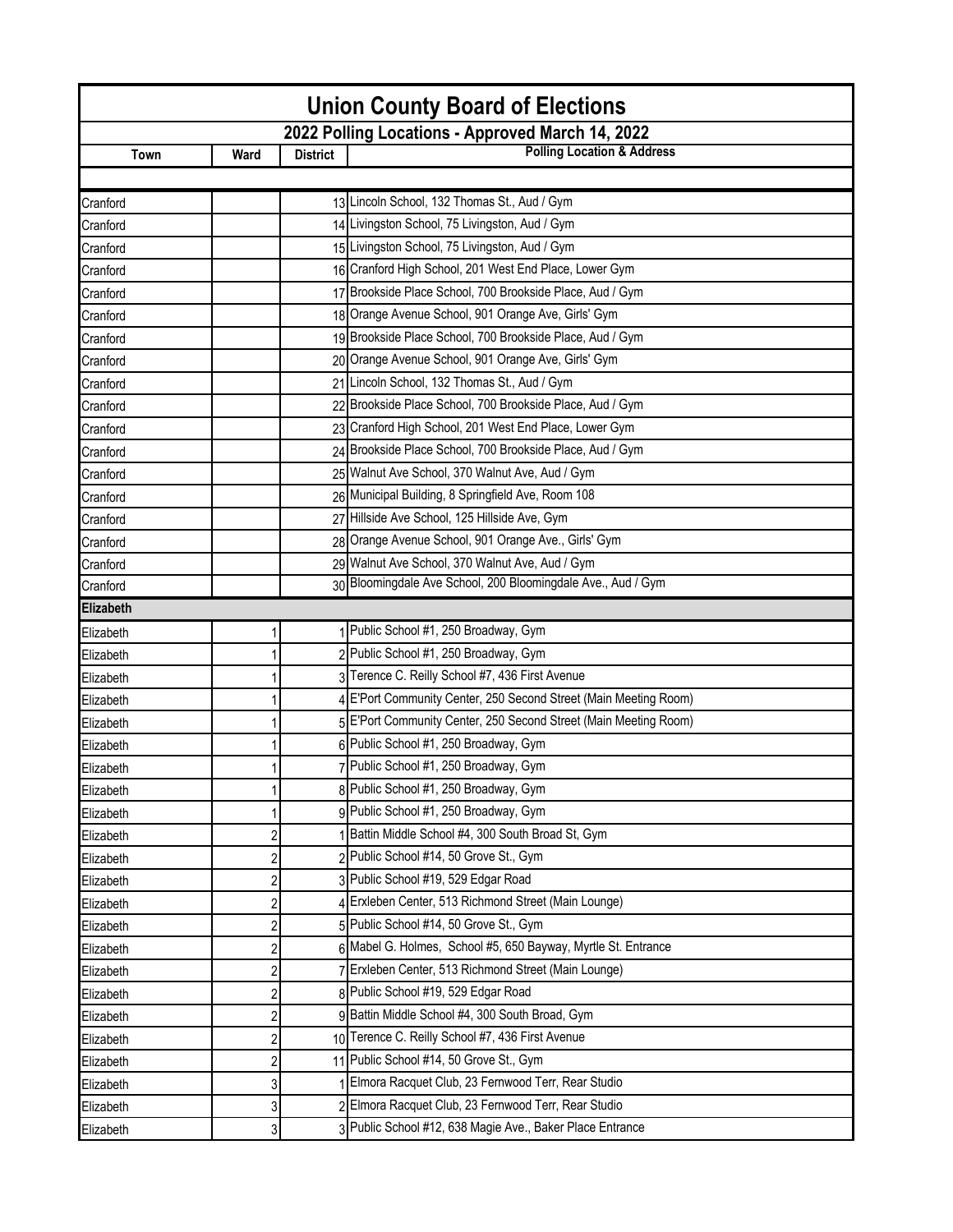| <b>Union County Board of Elections</b> |      |                 |                                                                  |  |
|----------------------------------------|------|-----------------|------------------------------------------------------------------|--|
|                                        |      |                 | 2022 Polling Locations - Approved March 14, 2022                 |  |
| Town                                   | Ward | <b>District</b> | <b>Polling Location &amp; Address</b>                            |  |
|                                        |      |                 |                                                                  |  |
| Cranford                               |      |                 | 13 Lincoln School, 132 Thomas St., Aud / Gym                     |  |
| Cranford                               |      |                 | 14 Livingston School, 75 Livingston, Aud / Gym                   |  |
| Cranford                               |      |                 | 15 Livingston School, 75 Livingston, Aud / Gym                   |  |
| Cranford                               |      |                 | 16 Cranford High School, 201 West End Place, Lower Gym           |  |
| Cranford                               |      |                 | 17 Brookside Place School, 700 Brookside Place, Aud / Gym        |  |
| Cranford                               |      |                 | 18 Orange Avenue School, 901 Orange Ave, Girls' Gym              |  |
| Cranford                               |      |                 | 19 Brookside Place School, 700 Brookside Place, Aud / Gym        |  |
| Cranford                               |      |                 | 20 Orange Avenue School, 901 Orange Ave, Girls' Gym              |  |
| Cranford                               |      |                 | 21 Lincoln School, 132 Thomas St., Aud / Gym                     |  |
| Cranford                               |      |                 | 22 Brookside Place School, 700 Brookside Place, Aud / Gym        |  |
| Cranford                               |      |                 | 23 Cranford High School, 201 West End Place, Lower Gym           |  |
| Cranford                               |      |                 | 24 Brookside Place School, 700 Brookside Place, Aud / Gym        |  |
| Cranford                               |      |                 | 25 Walnut Ave School, 370 Walnut Ave, Aud / Gym                  |  |
| Cranford                               |      |                 | 26 Municipal Building, 8 Springfield Ave, Room 108               |  |
| Cranford                               |      |                 | 27 Hillside Ave School, 125 Hillside Ave, Gym                    |  |
| Cranford                               |      |                 | 28 Orange Avenue School, 901 Orange Ave., Girls' Gym             |  |
| Cranford                               |      |                 | 29 Walnut Ave School, 370 Walnut Ave, Aud / Gym                  |  |
| Cranford                               |      |                 | 30 Bloomingdale Ave School, 200 Bloomingdale Ave., Aud / Gym     |  |
| Elizabeth                              |      |                 |                                                                  |  |
| Elizabeth                              |      |                 | 1 Public School #1, 250 Broadway, Gym                            |  |
| Elizabeth                              |      |                 | 2 Public School #1, 250 Broadway, Gym                            |  |
| Elizabeth                              |      |                 | 3 Terence C. Reilly School #7, 436 First Avenue                  |  |
| Elizabeth                              |      |                 | 4 E'Port Community Center, 250 Second Street (Main Meeting Room) |  |
| Elizabeth                              |      |                 | 5 E'Port Community Center, 250 Second Street (Main Meeting Room) |  |
| Elizabeth                              |      |                 | 6 Public School #1, 250 Broadway, Gym                            |  |
| Elizabeth                              |      |                 | 7 Public School #1, 250 Broadway, Gym                            |  |
| Elizabeth                              |      |                 | 8 Public School #1, 250 Broadway, Gym                            |  |
| Elizabeth                              |      |                 | 9 Public School #1, 250 Broadway, Gym                            |  |
| Elizabeth                              | 2    |                 | Battin Middle School #4, 300 South Broad St, Gym                 |  |
| Elizabeth                              |      |                 | Public School #14, 50 Grove St., Gym                             |  |
| Elizabeth                              |      |                 | 3 Public School #19, 529 Edgar Road                              |  |
| Elizabeth                              |      |                 | Erxleben Center, 513 Richmond Street (Main Lounge)               |  |
| Elizabeth                              | 2    |                 | 5 Public School #14, 50 Grove St., Gym                           |  |
| Elizabeth                              | 2    |                 | 6 Mabel G. Holmes, School #5, 650 Bayway, Myrtle St. Entrance    |  |
| Elizabeth                              | 2    |                 | Erxleben Center, 513 Richmond Street (Main Lounge)               |  |
| Elizabeth                              |      |                 | 8 Public School #19, 529 Edgar Road                              |  |
| Elizabeth                              |      |                 | 9 Battin Middle School #4, 300 South Broad, Gym                  |  |
| Elizabeth                              | 2    |                 | 10 Terence C. Reilly School #7, 436 First Avenue                 |  |
| Elizabeth                              |      |                 | 11 Public School #14, 50 Grove St., Gym                          |  |
| Elizabeth                              | 3    |                 | Elmora Racquet Club, 23 Fernwood Terr, Rear Studio               |  |
| Elizabeth                              | 3    |                 | 2 Elmora Racquet Club, 23 Fernwood Terr, Rear Studio             |  |
|                                        | 3    |                 | 3 Public School #12, 638 Magie Ave., Baker Place Entrance        |  |
| Elizabeth                              |      |                 |                                                                  |  |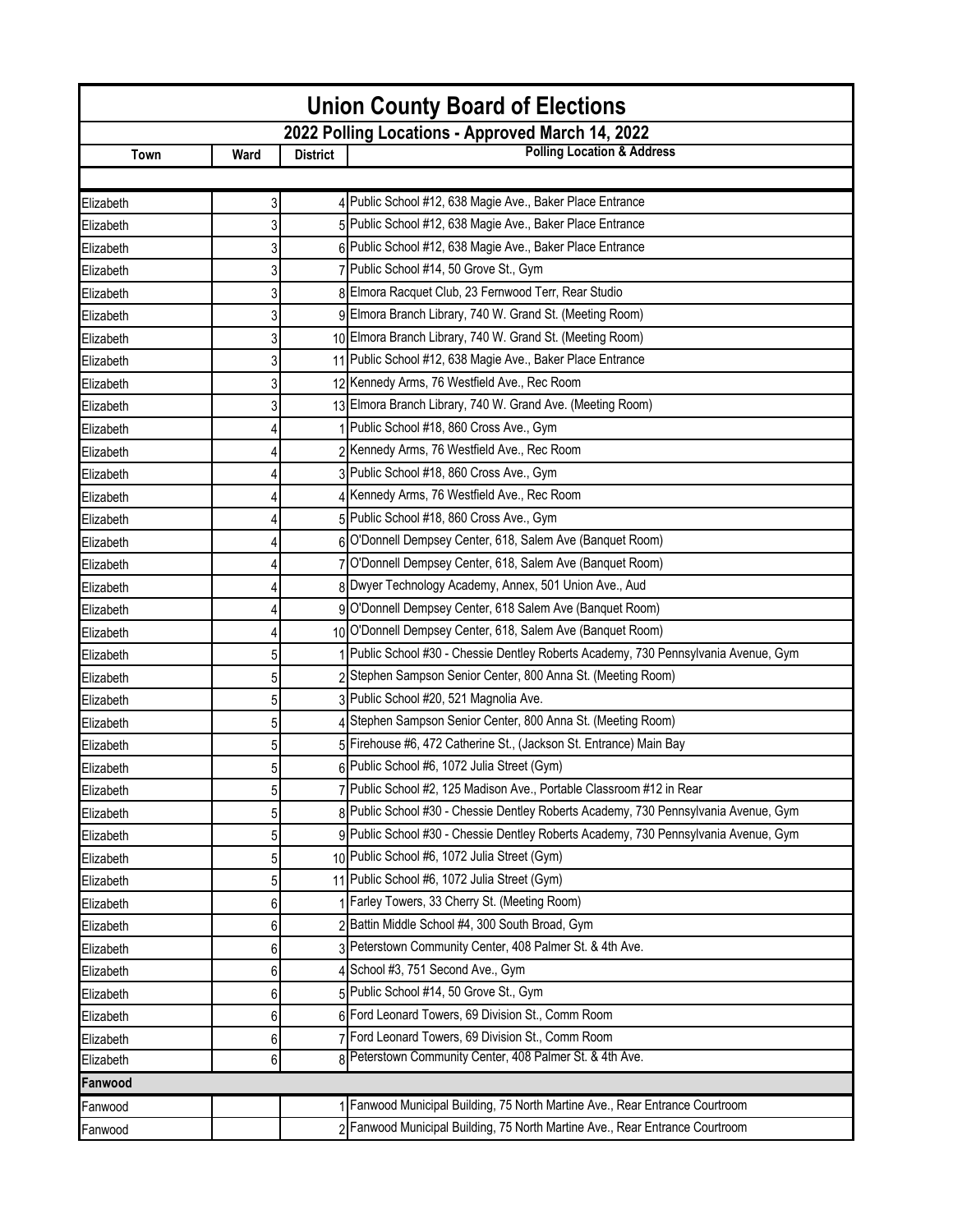| <b>Union County Board of Elections</b>           |      |                 |                                                                                     |  |
|--------------------------------------------------|------|-----------------|-------------------------------------------------------------------------------------|--|
| 2022 Polling Locations - Approved March 14, 2022 |      |                 |                                                                                     |  |
| Town                                             | Ward | <b>District</b> | <b>Polling Location &amp; Address</b>                                               |  |
|                                                  |      |                 |                                                                                     |  |
| Elizabeth                                        | 3    |                 | 4 Public School #12, 638 Magie Ave., Baker Place Entrance                           |  |
| Elizabeth                                        | 3    |                 | 5 Public School #12, 638 Magie Ave., Baker Place Entrance                           |  |
| Elizabeth                                        | 3    |                 | 6 Public School #12, 638 Magie Ave., Baker Place Entrance                           |  |
| Elizabeth                                        | 3    |                 | 7 Public School #14, 50 Grove St., Gym                                              |  |
| Elizabeth                                        | 3    |                 | 8 Elmora Racquet Club, 23 Fernwood Terr, Rear Studio                                |  |
| Elizabeth                                        | 3    |                 | 9 Elmora Branch Library, 740 W. Grand St. (Meeting Room)                            |  |
| Elizabeth                                        | 3    |                 | 10 Elmora Branch Library, 740 W. Grand St. (Meeting Room)                           |  |
| Elizabeth                                        | 3    |                 | 11 Public School #12, 638 Magie Ave., Baker Place Entrance                          |  |
| Elizabeth                                        | 3    |                 | 12 Kennedy Arms, 76 Westfield Ave., Rec Room                                        |  |
| Elizabeth                                        | 3    |                 | 13 Elmora Branch Library, 740 W. Grand Ave. (Meeting Room)                          |  |
| Elizabeth                                        | 4    |                 | Public School #18, 860 Cross Ave., Gym                                              |  |
| Elizabeth                                        | 4    |                 | 2 Kennedy Arms, 76 Westfield Ave., Rec Room                                         |  |
| Elizabeth                                        |      |                 | 3 Public School #18, 860 Cross Ave., Gym                                            |  |
| Elizabeth                                        |      |                 | 4 Kennedy Arms, 76 Westfield Ave., Rec Room                                         |  |
| Elizabeth                                        |      |                 | 5 Public School #18, 860 Cross Ave., Gym                                            |  |
| Elizabeth                                        |      |                 | 6 O'Donnell Dempsey Center, 618, Salem Ave (Banquet Room)                           |  |
| Elizabeth                                        | 4    |                 | 7 O'Donnell Dempsey Center, 618, Salem Ave (Banquet Room)                           |  |
| Elizabeth                                        |      |                 | 8 Dwyer Technology Academy, Annex, 501 Union Ave., Aud                              |  |
| Elizabeth                                        |      |                 | 9 O'Donnell Dempsey Center, 618 Salem Ave (Banquet Room)                            |  |
| Elizabeth                                        | 4    |                 | 10 O'Donnell Dempsey Center, 618, Salem Ave (Banquet Room)                          |  |
| Elizabeth                                        | 5    |                 | Public School #30 - Chessie Dentley Roberts Academy, 730 Pennsylvania Avenue, Gym   |  |
| Elizabeth                                        | 5    |                 | 2 Stephen Sampson Senior Center, 800 Anna St. (Meeting Room)                        |  |
| Elizabeth                                        | 5    |                 | 3 Public School #20, 521 Magnolia Ave.                                              |  |
| Elizabeth                                        | 5    |                 | 4 Stephen Sampson Senior Center, 800 Anna St. (Meeting Room)                        |  |
| Elizabeth                                        | 5    |                 | 5 Firehouse #6, 472 Catherine St., (Jackson St. Entrance) Main Bay                  |  |
| Elizabeth                                        | 5    |                 | 6 Public School #6, 1072 Julia Street (Gym)                                         |  |
| Elizabeth                                        | 5    |                 | 7 Public School #2, 125 Madison Ave., Portable Classroom #12 in Rear                |  |
| Elizabeth                                        | 5    |                 | 8 Public School #30 - Chessie Dentley Roberts Academy, 730 Pennsylvania Avenue, Gym |  |
| Elizabeth                                        | 5    |                 | 9 Public School #30 - Chessie Dentley Roberts Academy, 730 Pennsylvania Avenue, Gym |  |
| Elizabeth                                        | 5    |                 | 10 Public School #6, 1072 Julia Street (Gym)                                        |  |
| Elizabeth                                        | 5    |                 | 11 Public School #6, 1072 Julia Street (Gym)                                        |  |
| Elizabeth                                        | 6    |                 | Farley Towers, 33 Cherry St. (Meeting Room)                                         |  |
| Elizabeth                                        | 6    |                 | 2 Battin Middle School #4, 300 South Broad, Gym                                     |  |
| Elizabeth                                        | 6    |                 | 3 Peterstown Community Center, 408 Palmer St. & 4th Ave.                            |  |
| Elizabeth                                        | 6    |                 | 4 School #3, 751 Second Ave., Gym                                                   |  |
| Elizabeth                                        | 6    |                 | 5 Public School #14, 50 Grove St., Gym                                              |  |
| Elizabeth                                        | 6    |                 | 6 Ford Leonard Towers, 69 Division St., Comm Room                                   |  |
| Elizabeth                                        | 6    |                 | 7 Ford Leonard Towers, 69 Division St., Comm Room                                   |  |
| Elizabeth                                        | 6    |                 | 8 Peterstown Community Center, 408 Palmer St. & 4th Ave.                            |  |
| Fanwood                                          |      |                 |                                                                                     |  |
| Fanwood                                          |      |                 | Fanwood Municipal Building, 75 North Martine Ave., Rear Entrance Courtroom          |  |
| Fanwood                                          |      |                 | Fanwood Municipal Building, 75 North Martine Ave., Rear Entrance Courtroom          |  |
|                                                  |      |                 |                                                                                     |  |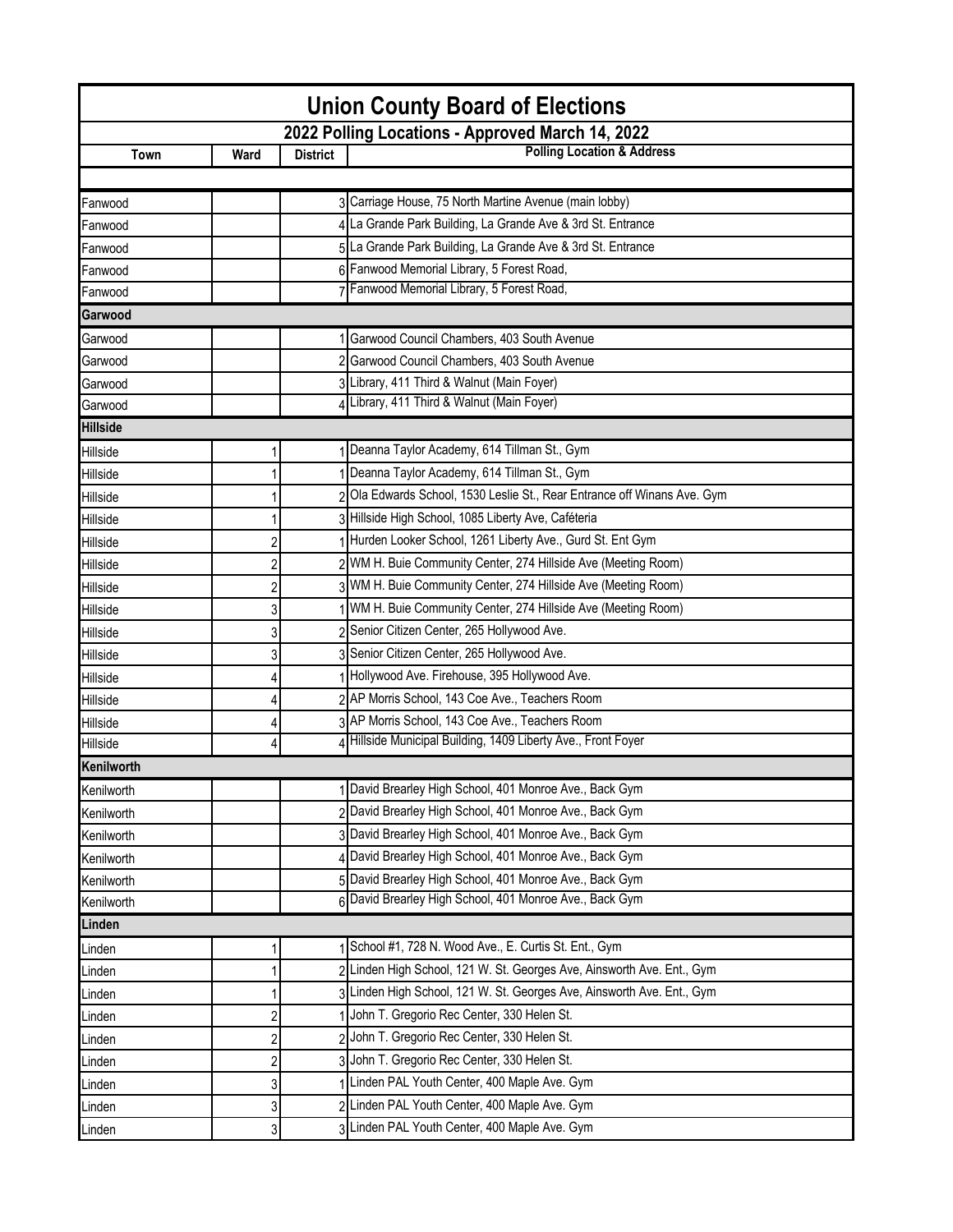| <b>Union County Board of Elections</b>           |                |                 |                                                                          |  |  |
|--------------------------------------------------|----------------|-----------------|--------------------------------------------------------------------------|--|--|
| 2022 Polling Locations - Approved March 14, 2022 |                |                 |                                                                          |  |  |
| Town                                             | Ward           | <b>District</b> | <b>Polling Location &amp; Address</b>                                    |  |  |
|                                                  |                |                 |                                                                          |  |  |
| Fanwood                                          |                |                 | 3 Carriage House, 75 North Martine Avenue (main lobby)                   |  |  |
| Fanwood                                          |                |                 | 4 La Grande Park Building, La Grande Ave & 3rd St. Entrance              |  |  |
| Fanwood                                          |                |                 | 5 La Grande Park Building, La Grande Ave & 3rd St. Entrance              |  |  |
| Fanwood                                          |                |                 | 6 Fanwood Memorial Library, 5 Forest Road,                               |  |  |
| Fanwood                                          |                |                 | 7 Fanwood Memorial Library, 5 Forest Road,                               |  |  |
| Garwood                                          |                |                 |                                                                          |  |  |
| Garwood                                          |                |                 | 1 Garwood Council Chambers, 403 South Avenue                             |  |  |
| Garwood                                          |                |                 | 2 Garwood Council Chambers, 403 South Avenue                             |  |  |
| Garwood                                          |                |                 | 3 Library, 411 Third & Walnut (Main Foyer)                               |  |  |
| Garwood                                          |                |                 | 4 Library, 411 Third & Walnut (Main Foyer)                               |  |  |
| <b>Hillside</b>                                  |                |                 |                                                                          |  |  |
| Hillside                                         |                |                 | 1 Deanna Taylor Academy, 614 Tillman St., Gym                            |  |  |
| Hillside                                         |                |                 | Deanna Taylor Academy, 614 Tillman St., Gym                              |  |  |
| Hillside                                         |                |                 | 2 Ola Edwards School, 1530 Leslie St., Rear Entrance off Winans Ave. Gym |  |  |
| Hillside                                         |                |                 | 3 Hillside High School, 1085 Liberty Ave, Caféteria                      |  |  |
| Hillside                                         | $\overline{c}$ |                 | Hurden Looker School, 1261 Liberty Ave., Gurd St. Ent Gym                |  |  |
| Hillside                                         | 2              |                 | 2 WM H. Buie Community Center, 274 Hillside Ave (Meeting Room)           |  |  |
| Hillside                                         |                |                 | 3 WM H. Buie Community Center, 274 Hillside Ave (Meeting Room)           |  |  |
| Hillside                                         | 3              |                 | 1 WM H. Buie Community Center, 274 Hillside Ave (Meeting Room)           |  |  |
| Hillside                                         | 3              |                 | 2 Senior Citizen Center, 265 Hollywood Ave.                              |  |  |
| Hillside                                         | 3              |                 | 3 Senior Citizen Center, 265 Hollywood Ave.                              |  |  |
| Hillside                                         |                |                 | Hollywood Ave. Firehouse, 395 Hollywood Ave.                             |  |  |
| Hillside                                         |                |                 | 2 AP Morris School, 143 Coe Ave., Teachers Room                          |  |  |
| Hillside                                         |                |                 | 3 AP Morris School, 143 Coe Ave., Teachers Room                          |  |  |
| Hillside                                         |                |                 | 4 Hillside Municipal Building, 1409 Liberty Ave., Front Foyer            |  |  |
| <b>Kenilworth</b>                                |                |                 |                                                                          |  |  |
| Kenilworth                                       |                |                 | 1 David Brearley High School, 401 Monroe Ave., Back Gym                  |  |  |
| Kenilworth                                       |                |                 | 2 David Brearley High School, 401 Monroe Ave., Back Gym                  |  |  |
| Kenilworth                                       |                |                 | 3 David Brearley High School, 401 Monroe Ave., Back Gym                  |  |  |
| Kenilworth                                       |                |                 | David Brearley High School, 401 Monroe Ave., Back Gym                    |  |  |
| Kenilworth                                       |                |                 | 5 David Brearley High School, 401 Monroe Ave., Back Gym                  |  |  |
| Kenilworth                                       |                | 61              | David Brearley High School, 401 Monroe Ave., Back Gym                    |  |  |
| Linden                                           |                |                 |                                                                          |  |  |
| Linden                                           |                |                 | School #1, 728 N. Wood Ave., E. Curtis St. Ent., Gym                     |  |  |
| Linden                                           |                |                 | 2 Linden High School, 121 W. St. Georges Ave, Ainsworth Ave. Ent., Gym   |  |  |
| Linden                                           |                |                 | 3 Linden High School, 121 W. St. Georges Ave, Ainsworth Ave. Ent., Gym   |  |  |
| Linden                                           | 2              |                 | John T. Gregorio Rec Center, 330 Helen St.                               |  |  |
| Linden                                           | $\overline{c}$ |                 | 2 John T. Gregorio Rec Center, 330 Helen St.                             |  |  |
| Linden                                           | 2              |                 | 3 John T. Gregorio Rec Center, 330 Helen St.                             |  |  |
| Linden                                           | 3              |                 | 1 Linden PAL Youth Center, 400 Maple Ave. Gym                            |  |  |
| Linden                                           | 3              |                 | 2 Linden PAL Youth Center, 400 Maple Ave. Gym                            |  |  |
| Linden                                           | 3              |                 | 3 Linden PAL Youth Center, 400 Maple Ave. Gym                            |  |  |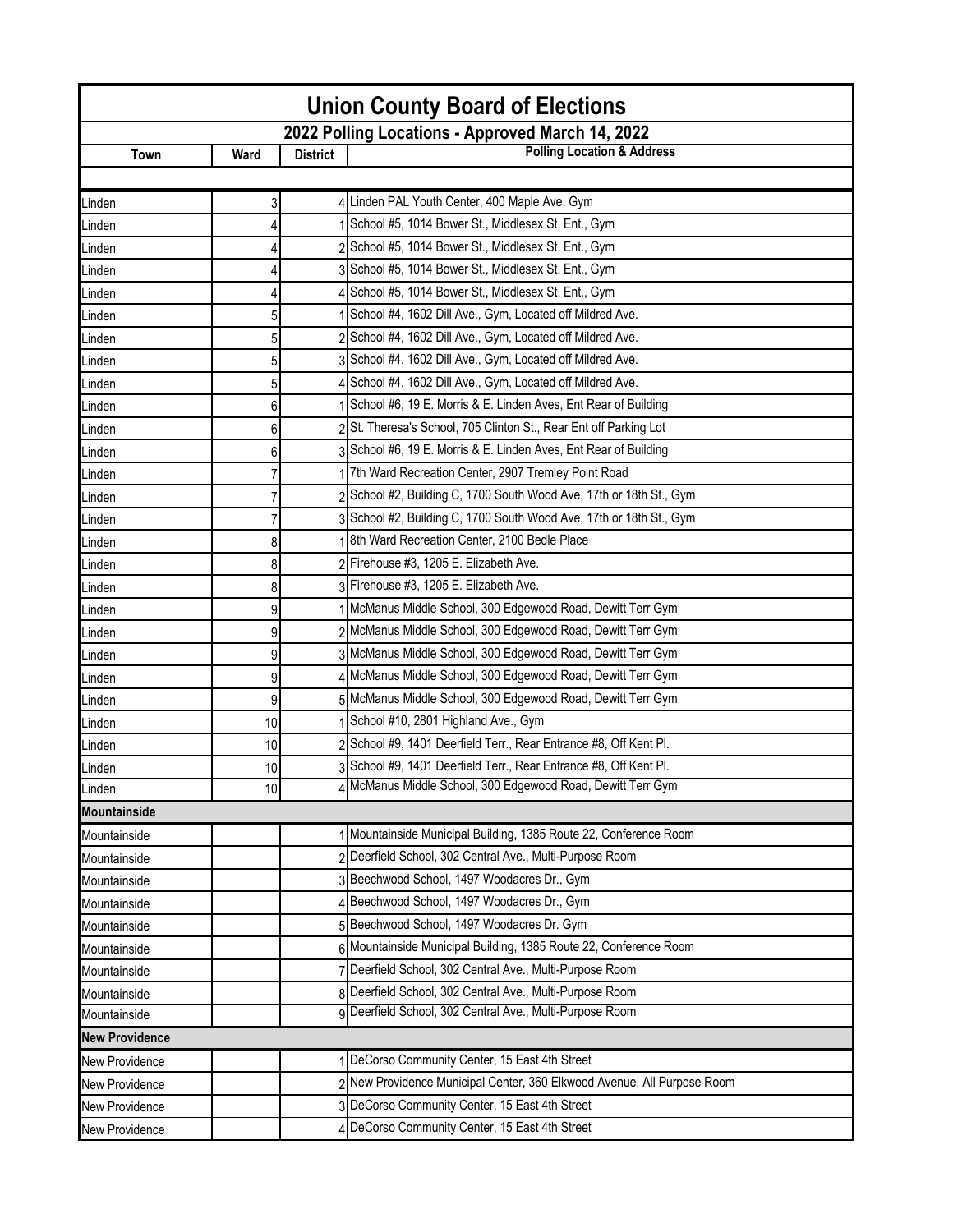| <b>Union County Board of Elections</b> |                                                  |                 |                                                                         |  |  |  |
|----------------------------------------|--------------------------------------------------|-----------------|-------------------------------------------------------------------------|--|--|--|
|                                        | 2022 Polling Locations - Approved March 14, 2022 |                 |                                                                         |  |  |  |
| Town                                   | Ward                                             | <b>District</b> | <b>Polling Location &amp; Address</b>                                   |  |  |  |
|                                        |                                                  |                 |                                                                         |  |  |  |
| Linden                                 | 3                                                |                 | 4 Linden PAL Youth Center, 400 Maple Ave. Gym                           |  |  |  |
| Linden                                 |                                                  |                 | School #5, 1014 Bower St., Middlesex St. Ent., Gym                      |  |  |  |
| Linden                                 |                                                  |                 | 2 School #5, 1014 Bower St., Middlesex St. Ent., Gym                    |  |  |  |
| Linden                                 |                                                  |                 | 3 School #5, 1014 Bower St., Middlesex St. Ent., Gym                    |  |  |  |
| Linden                                 |                                                  |                 | 4 School #5, 1014 Bower St., Middlesex St. Ent., Gym                    |  |  |  |
| Linden                                 | 5                                                |                 | School #4, 1602 Dill Ave., Gym, Located off Mildred Ave.                |  |  |  |
| Linden                                 | 5                                                |                 | 2 School #4, 1602 Dill Ave., Gym, Located off Mildred Ave.              |  |  |  |
| Linden                                 | 5                                                |                 | 3 School #4, 1602 Dill Ave., Gym, Located off Mildred Ave.              |  |  |  |
| Linden                                 | 5                                                |                 | 4 School #4, 1602 Dill Ave., Gym, Located off Mildred Ave.              |  |  |  |
| Linden                                 | 6                                                |                 | School #6, 19 E. Morris & E. Linden Aves, Ent Rear of Building          |  |  |  |
| Linden                                 | 6                                                |                 | 2 St. Theresa's School, 705 Clinton St., Rear Ent off Parking Lot       |  |  |  |
| Linden                                 | 6                                                |                 | 3 School #6, 19 E. Morris & E. Linden Aves, Ent Rear of Building        |  |  |  |
| Linden                                 |                                                  |                 | 7th Ward Recreation Center, 2907 Tremley Point Road                     |  |  |  |
| Linden                                 |                                                  |                 | 2 School #2, Building C, 1700 South Wood Ave, 17th or 18th St., Gym     |  |  |  |
| Linden                                 |                                                  |                 | 3 School #2, Building C, 1700 South Wood Ave, 17th or 18th St., Gym     |  |  |  |
| Linden                                 | 8                                                |                 | 8th Ward Recreation Center, 2100 Bedle Place                            |  |  |  |
| Linden                                 | 8                                                |                 | 2 Firehouse #3, 1205 E. Elizabeth Ave.                                  |  |  |  |
| Linden                                 | 8                                                |                 | 3 Firehouse #3, 1205 E. Elizabeth Ave.                                  |  |  |  |
| Linden                                 | 9                                                |                 | 1 McManus Middle School, 300 Edgewood Road, Dewitt Terr Gym             |  |  |  |
| Linden                                 | 9                                                |                 | 2 McManus Middle School, 300 Edgewood Road, Dewitt Terr Gym             |  |  |  |
| Linden                                 | 9                                                |                 | 3 McManus Middle School, 300 Edgewood Road, Dewitt Terr Gym             |  |  |  |
| Linden                                 | 9                                                |                 | 4 McManus Middle School, 300 Edgewood Road, Dewitt Terr Gym             |  |  |  |
| Linden                                 | 9                                                |                 | 5 McManus Middle School, 300 Edgewood Road, Dewitt Terr Gym             |  |  |  |
| Linden                                 | 10                                               |                 | 1 School #10, 2801 Highland Ave., Gym                                   |  |  |  |
| Linden                                 | 10                                               |                 | 2 School #9, 1401 Deerfield Terr., Rear Entrance #8, Off Kent Pl.       |  |  |  |
| Linden                                 | 10                                               |                 | 3 School #9, 1401 Deerfield Terr., Rear Entrance #8, Off Kent Pl.       |  |  |  |
| Linden                                 | 10                                               |                 | 4 McManus Middle School, 300 Edgewood Road, Dewitt Terr Gym             |  |  |  |
| <b>Mountainside</b>                    |                                                  |                 |                                                                         |  |  |  |
| Mountainside                           |                                                  |                 | 1 Mountainside Municipal Building, 1385 Route 22, Conference Room       |  |  |  |
| Mountainside                           |                                                  |                 | 2 Deerfield School, 302 Central Ave., Multi-Purpose Room                |  |  |  |
| Mountainside                           |                                                  |                 | 3 Beechwood School, 1497 Woodacres Dr., Gym                             |  |  |  |
| Mountainside                           |                                                  |                 | Beechwood School, 1497 Woodacres Dr., Gym                               |  |  |  |
| Mountainside                           |                                                  |                 | 5 Beechwood School, 1497 Woodacres Dr. Gym                              |  |  |  |
| Mountainside                           |                                                  |                 | 6 Mountainside Municipal Building, 1385 Route 22, Conference Room       |  |  |  |
| Mountainside                           |                                                  |                 | Deerfield School, 302 Central Ave., Multi-Purpose Room                  |  |  |  |
| Mountainside                           |                                                  |                 | 8 Deerfield School, 302 Central Ave., Multi-Purpose Room                |  |  |  |
| Mountainside                           |                                                  |                 | 9 Deerfield School, 302 Central Ave., Multi-Purpose Room                |  |  |  |
| <b>New Providence</b>                  |                                                  |                 |                                                                         |  |  |  |
| <b>New Providence</b>                  |                                                  |                 | 1 DeCorso Community Center, 15 East 4th Street                          |  |  |  |
| <b>New Providence</b>                  |                                                  |                 | 2 New Providence Municipal Center, 360 Elkwood Avenue, All Purpose Room |  |  |  |
| New Providence                         |                                                  |                 | 3 DeCorso Community Center, 15 East 4th Street                          |  |  |  |
| New Providence                         |                                                  |                 | 4 DeCorso Community Center, 15 East 4th Street                          |  |  |  |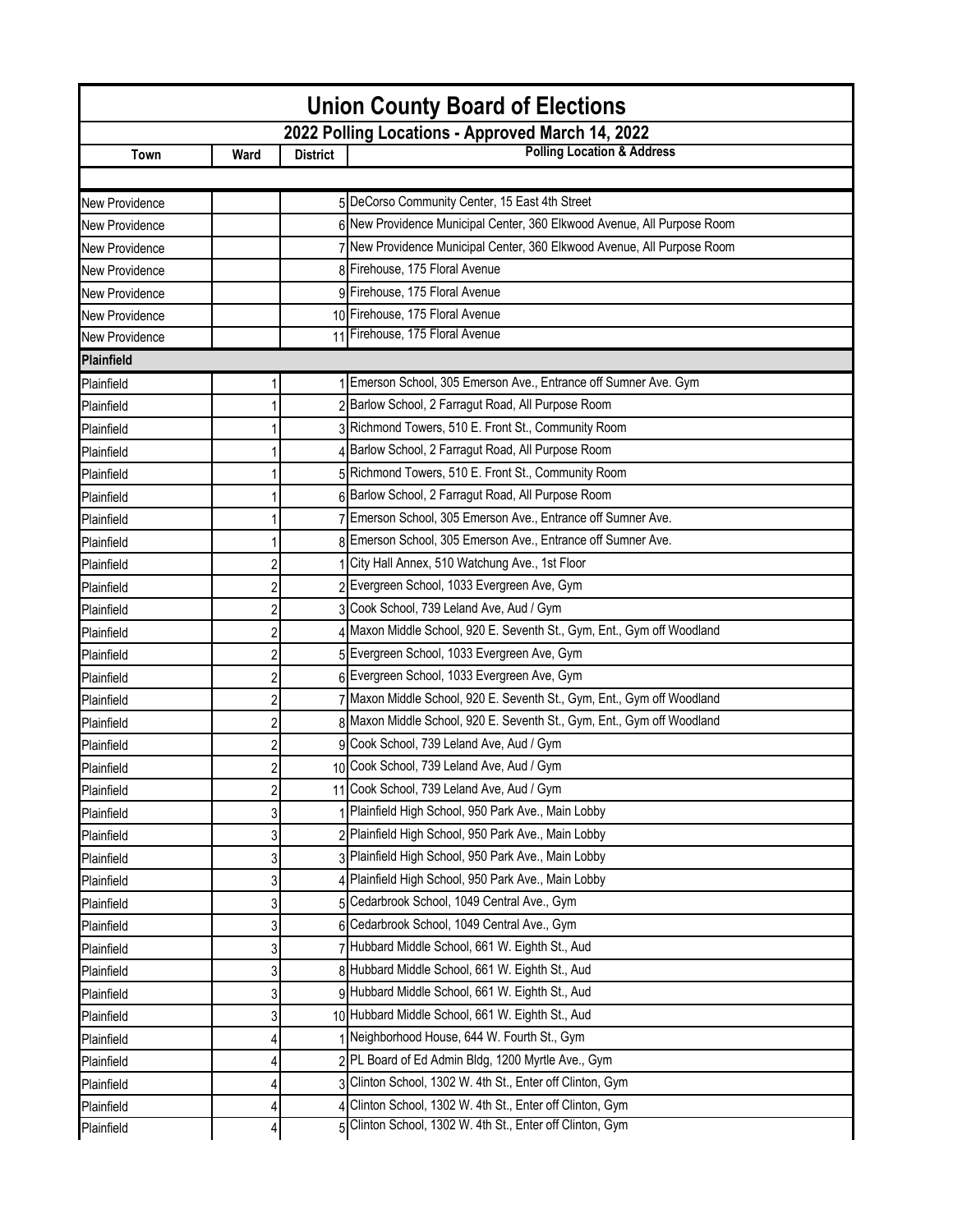| <b>Union County Board of Elections</b> |                  |                 |                                                                         |  |
|----------------------------------------|------------------|-----------------|-------------------------------------------------------------------------|--|
|                                        |                  |                 | 2022 Polling Locations - Approved March 14, 2022                        |  |
| Town                                   | Ward             | <b>District</b> | <b>Polling Location &amp; Address</b>                                   |  |
|                                        |                  |                 |                                                                         |  |
| New Providence                         |                  |                 | 5 DeCorso Community Center, 15 East 4th Street                          |  |
| New Providence                         |                  |                 | 6 New Providence Municipal Center, 360 Elkwood Avenue, All Purpose Room |  |
| New Providence                         |                  |                 | 7 New Providence Municipal Center, 360 Elkwood Avenue, All Purpose Room |  |
| New Providence                         |                  |                 | 8 Firehouse, 175 Floral Avenue                                          |  |
| New Providence                         |                  |                 | 9 Firehouse, 175 Floral Avenue                                          |  |
| New Providence                         |                  |                 | 10 Firehouse, 175 Floral Avenue                                         |  |
| New Providence                         |                  |                 | 11 Firehouse, 175 Floral Avenue                                         |  |
| Plainfield                             |                  |                 |                                                                         |  |
| Plainfield                             |                  |                 | Emerson School, 305 Emerson Ave., Entrance off Sumner Ave. Gym          |  |
| Plainfield                             |                  |                 | 2 Barlow School, 2 Farragut Road, All Purpose Room                      |  |
| Plainfield                             |                  |                 | 3 Richmond Towers, 510 E. Front St., Community Room                     |  |
| Plainfield                             |                  |                 | 4 Barlow School, 2 Farragut Road, All Purpose Room                      |  |
| Plainfield                             |                  |                 | 5 Richmond Towers, 510 E. Front St., Community Room                     |  |
| Plainfield                             |                  |                 | 6 Barlow School, 2 Farragut Road, All Purpose Room                      |  |
| Plainfield                             |                  |                 | 7 Emerson School, 305 Emerson Ave., Entrance off Sumner Ave.            |  |
| Plainfield                             |                  |                 | 8 Emerson School, 305 Emerson Ave., Entrance off Sumner Ave.            |  |
| Plainfield                             | 2                |                 | City Hall Annex, 510 Watchung Ave., 1st Floor                           |  |
| Plainfield                             | 2                |                 | 2 Evergreen School, 1033 Evergreen Ave, Gym                             |  |
| Plainfield                             | 2                |                 | 3 Cook School, 739 Leland Ave, Aud / Gym                                |  |
| Plainfield                             | $\boldsymbol{2}$ |                 | Maxon Middle School, 920 E. Seventh St., Gym, Ent., Gym off Woodland    |  |
| Plainfield                             | $\overline{2}$   |                 | 5 Evergreen School, 1033 Evergreen Ave, Gym                             |  |
| Plainfield                             | $\overline{2}$   |                 | 6 Evergreen School, 1033 Evergreen Ave, Gym                             |  |
| Plainfield                             | 2                |                 | 7 Maxon Middle School, 920 E. Seventh St., Gym, Ent., Gym off Woodland  |  |
| Plainfield                             | 2                |                 | 8 Maxon Middle School, 920 E. Seventh St., Gym, Ent., Gym off Woodland  |  |
| Plainfield                             | 2                |                 | 9 Cook School, 739 Leland Ave, Aud / Gym                                |  |
| Plainfield                             | 2                |                 | 10 Cook School, 739 Leland Ave, Aud / Gym                               |  |
| Plainfield                             | 2                |                 | 11 Cook School, 739 Leland Ave, Aud / Gym                               |  |
| Plainfield                             | 3                |                 | Plainfield High School, 950 Park Ave., Main Lobby                       |  |
| Plainfield                             | 3                |                 | 2 Plainfield High School, 950 Park Ave., Main Lobby                     |  |
| Plainfield                             | 3                |                 | 3 Plainfield High School, 950 Park Ave., Main Lobby                     |  |
| Plainfield                             | 3                |                 | 4 Plainfield High School, 950 Park Ave., Main Lobby                     |  |
| Plainfield                             | 3                |                 | 5 Cedarbrook School, 1049 Central Ave., Gym                             |  |
| Plainfield                             | 3                |                 | 6 Cedarbrook School, 1049 Central Ave., Gym                             |  |
| Plainfield                             | 3                |                 | 7 Hubbard Middle School, 661 W. Eighth St., Aud                         |  |
| Plainfield                             | 3                |                 | 8 Hubbard Middle School, 661 W. Eighth St., Aud                         |  |
| Plainfield                             | 3                |                 | 9 Hubbard Middle School, 661 W. Eighth St., Aud                         |  |
| Plainfield                             | 3                |                 | 10 Hubbard Middle School, 661 W. Eighth St., Aud                        |  |
| Plainfield                             | 4                |                 | Neighborhood House, 644 W. Fourth St., Gym                              |  |
| Plainfield                             | 4                |                 | 2 PL Board of Ed Admin Bldg, 1200 Myrtle Ave., Gym                      |  |
| Plainfield                             |                  |                 | 3 Clinton School, 1302 W. 4th St., Enter off Clinton, Gym               |  |
| Plainfield                             | 4                |                 | Clinton School, 1302 W. 4th St., Enter off Clinton, Gym                 |  |
| Plainfield                             | 4                |                 | Clinton School, 1302 W. 4th St., Enter off Clinton, Gym                 |  |
|                                        |                  |                 |                                                                         |  |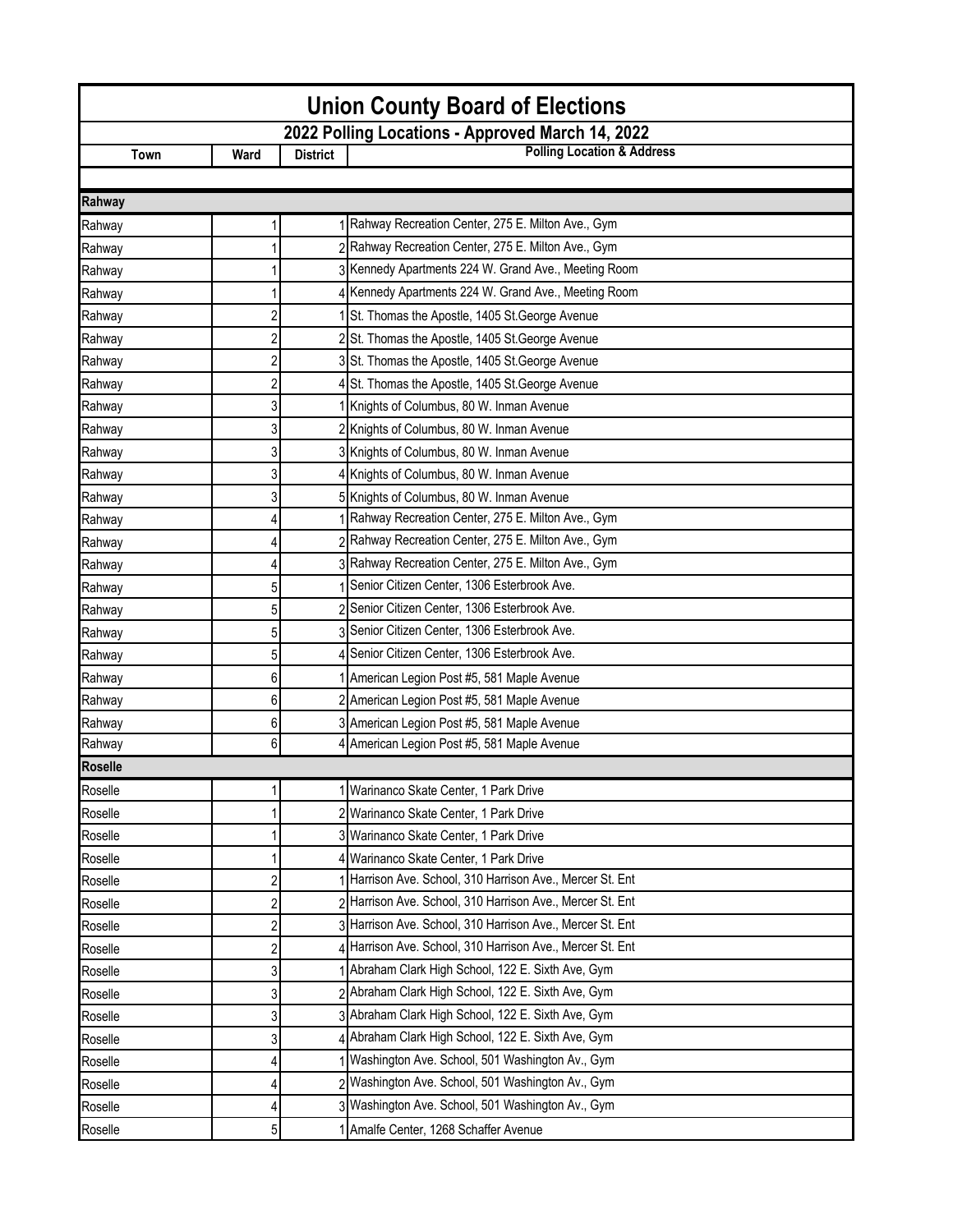| <b>Union County Board of Elections</b>           |                |                 |                                                           |  |
|--------------------------------------------------|----------------|-----------------|-----------------------------------------------------------|--|
| 2022 Polling Locations - Approved March 14, 2022 |                |                 |                                                           |  |
| Town                                             | Ward           | <b>District</b> | <b>Polling Location &amp; Address</b>                     |  |
|                                                  |                |                 |                                                           |  |
| Rahway                                           |                |                 |                                                           |  |
| Rahway                                           |                |                 | 1 Rahway Recreation Center, 275 E. Milton Ave., Gym       |  |
| Rahway                                           |                |                 | 2 Rahway Recreation Center, 275 E. Milton Ave., Gym       |  |
| Rahway                                           |                |                 | 3 Kennedy Apartments 224 W. Grand Ave., Meeting Room      |  |
| Rahway                                           |                |                 | 4 Kennedy Apartments 224 W. Grand Ave., Meeting Room      |  |
| Rahway                                           | 2              |                 | St. Thomas the Apostle, 1405 St. George Avenue            |  |
| Rahway                                           | 2              |                 | 2 St. Thomas the Apostle, 1405 St. George Avenue          |  |
| Rahway                                           | 2              |                 | 3 St. Thomas the Apostle, 1405 St. George Avenue          |  |
| Rahway                                           | $\overline{c}$ |                 | 4 St. Thomas the Apostle, 1405 St. George Avenue          |  |
| Rahway                                           | 3              |                 | Knights of Columbus, 80 W. Inman Avenue                   |  |
| Rahway                                           | 3              |                 | 2 Knights of Columbus, 80 W. Inman Avenue                 |  |
| Rahway                                           | 3              |                 | 3 Knights of Columbus, 80 W. Inman Avenue                 |  |
| Rahway                                           | 3              |                 | 4 Knights of Columbus, 80 W. Inman Avenue                 |  |
| Rahway                                           | 3              |                 | 5 Knights of Columbus, 80 W. Inman Avenue                 |  |
| Rahway                                           | 4              |                 | Rahway Recreation Center, 275 E. Milton Ave., Gym         |  |
| Rahway                                           | 4              |                 | 2 Rahway Recreation Center, 275 E. Milton Ave., Gym       |  |
| Rahway                                           | 4              |                 | 3 Rahway Recreation Center, 275 E. Milton Ave., Gym       |  |
| Rahway                                           | 5              |                 | Senior Citizen Center, 1306 Esterbrook Ave.               |  |
| Rahway                                           | 5              |                 | 2 Senior Citizen Center, 1306 Esterbrook Ave.             |  |
| Rahway                                           | 5              |                 | 3 Senior Citizen Center, 1306 Esterbrook Ave.             |  |
| Rahway                                           | 5              |                 | 4 Senior Citizen Center, 1306 Esterbrook Ave.             |  |
| Rahway                                           | 6              |                 | American Legion Post #5, 581 Maple Avenue                 |  |
| Rahway                                           | 6              |                 | 2 American Legion Post #5, 581 Maple Avenue               |  |
| Rahway                                           | 6              |                 | 3 American Legion Post #5, 581 Maple Avenue               |  |
| Rahway                                           | 6              | 4               | American Legion Post #5, 581 Maple Avenue                 |  |
| <b>Roselle</b>                                   |                |                 |                                                           |  |
| Roselle                                          | 1              |                 | 1 Warinanco Skate Center, 1 Park Drive                    |  |
| Roselle                                          |                |                 | 2 Warinanco Skate Center, 1 Park Drive                    |  |
| Roselle                                          |                |                 | 3 Warinanco Skate Center, 1 Park Drive                    |  |
| Roselle                                          |                |                 | 4 Warinanco Skate Center, 1 Park Drive                    |  |
| Roselle                                          | $\overline{c}$ |                 | Harrison Ave. School, 310 Harrison Ave., Mercer St. Ent   |  |
| Roselle                                          | 2              |                 | 2 Harrison Ave. School, 310 Harrison Ave., Mercer St. Ent |  |
| Roselle                                          | 2              |                 | 3 Harrison Ave. School, 310 Harrison Ave., Mercer St. Ent |  |
| Roselle                                          | 2              |                 | Harrison Ave. School, 310 Harrison Ave., Mercer St. Ent   |  |
| Roselle                                          | 3              |                 | Abraham Clark High School, 122 E. Sixth Ave, Gym          |  |
| Roselle                                          | 3              |                 | 2 Abraham Clark High School, 122 E. Sixth Ave, Gym        |  |
| Roselle                                          | 3              |                 | 3 Abraham Clark High School, 122 E. Sixth Ave, Gym        |  |
| Roselle                                          | 3              |                 | 4 Abraham Clark High School, 122 E. Sixth Ave, Gym        |  |
| Roselle                                          |                |                 | Washington Ave. School, 501 Washington Av., Gym           |  |
| Roselle                                          |                |                 | 2 Washington Ave. School, 501 Washington Av., Gym         |  |
| Roselle                                          | 4              |                 | 3 Washington Ave. School, 501 Washington Av., Gym         |  |
| Roselle                                          | 5              |                 | 1 Amalfe Center, 1268 Schaffer Avenue                     |  |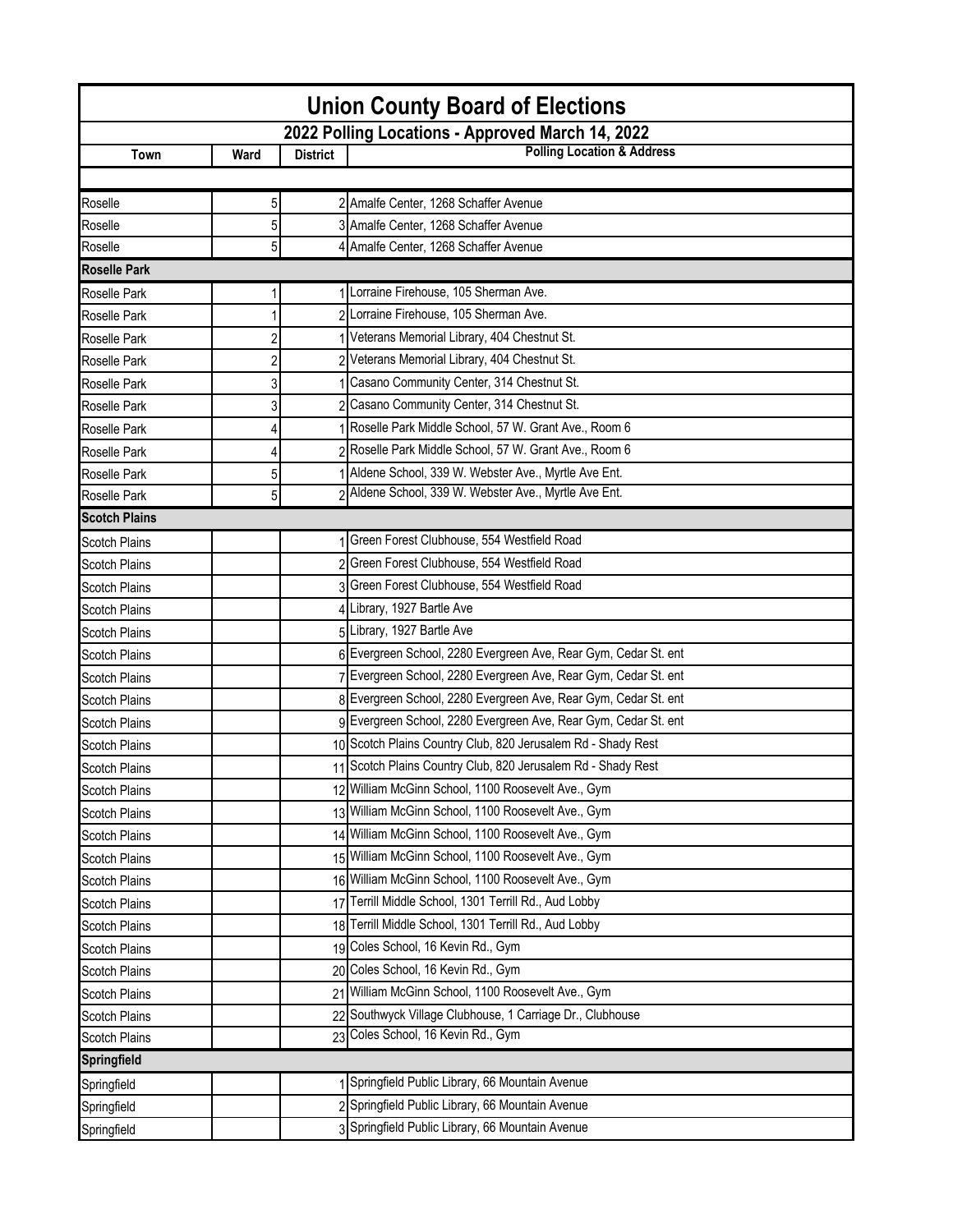| <b>Union County Board of Elections</b> |                |                 |                                                                 |  |  |  |  |
|----------------------------------------|----------------|-----------------|-----------------------------------------------------------------|--|--|--|--|
|                                        |                |                 | 2022 Polling Locations - Approved March 14, 2022                |  |  |  |  |
| Town                                   | Ward           | <b>District</b> | <b>Polling Location &amp; Address</b>                           |  |  |  |  |
|                                        |                |                 |                                                                 |  |  |  |  |
| Roselle                                | 5              |                 | 2 Amalfe Center, 1268 Schaffer Avenue                           |  |  |  |  |
| Roselle                                | 5              |                 | 3 Amalfe Center, 1268 Schaffer Avenue                           |  |  |  |  |
| Roselle                                | 5              |                 | 4 Amalfe Center, 1268 Schaffer Avenue                           |  |  |  |  |
| <b>Roselle Park</b>                    |                |                 |                                                                 |  |  |  |  |
| Roselle Park                           |                |                 | 1 Lorraine Firehouse, 105 Sherman Ave.                          |  |  |  |  |
| Roselle Park                           |                |                 | Lorraine Firehouse, 105 Sherman Ave.                            |  |  |  |  |
| Roselle Park                           | $\overline{c}$ |                 | 1 Veterans Memorial Library, 404 Chestnut St.                   |  |  |  |  |
| Roselle Park                           | $\overline{c}$ |                 | 2 Veterans Memorial Library, 404 Chestnut St.                   |  |  |  |  |
| Roselle Park                           | 3              |                 | Casano Community Center, 314 Chestnut St.                       |  |  |  |  |
| Roselle Park                           | 3              |                 | 2 Casano Community Center, 314 Chestnut St.                     |  |  |  |  |
| Roselle Park                           |                |                 | Roselle Park Middle School, 57 W. Grant Ave., Room 6            |  |  |  |  |
| Roselle Park                           |                |                 | 2 Roselle Park Middle School, 57 W. Grant Ave., Room 6          |  |  |  |  |
| Roselle Park                           | 5              |                 | Aldene School, 339 W. Webster Ave., Myrtle Ave Ent.             |  |  |  |  |
| Roselle Park                           | 5              |                 | 2 Aldene School, 339 W. Webster Ave., Myrtle Ave Ent.           |  |  |  |  |
| <b>Scotch Plains</b>                   |                |                 |                                                                 |  |  |  |  |
| <b>Scotch Plains</b>                   |                |                 | 1 Green Forest Clubhouse, 554 Westfield Road                    |  |  |  |  |
| <b>Scotch Plains</b>                   |                |                 | 2 Green Forest Clubhouse, 554 Westfield Road                    |  |  |  |  |
| <b>Scotch Plains</b>                   |                |                 | 3 Green Forest Clubhouse, 554 Westfield Road                    |  |  |  |  |
| <b>Scotch Plains</b>                   |                |                 | 4 Library, 1927 Bartle Ave                                      |  |  |  |  |
| <b>Scotch Plains</b>                   |                |                 | 5 Library, 1927 Bartle Ave                                      |  |  |  |  |
| <b>Scotch Plains</b>                   |                |                 | 6 Evergreen School, 2280 Evergreen Ave, Rear Gym, Cedar St. ent |  |  |  |  |
| <b>Scotch Plains</b>                   |                |                 | 7 Evergreen School, 2280 Evergreen Ave, Rear Gym, Cedar St. ent |  |  |  |  |
| <b>Scotch Plains</b>                   |                |                 | 8 Evergreen School, 2280 Evergreen Ave, Rear Gym, Cedar St. ent |  |  |  |  |
| <b>Scotch Plains</b>                   |                |                 | 9 Evergreen School, 2280 Evergreen Ave, Rear Gym, Cedar St. ent |  |  |  |  |
| <b>Scotch Plains</b>                   |                |                 | 10 Scotch Plains Country Club, 820 Jerusalem Rd - Shady Rest    |  |  |  |  |
| <b>Scotch Plains</b>                   |                |                 | 11 Scotch Plains Country Club, 820 Jerusalem Rd - Shady Rest    |  |  |  |  |
| Scotch Plains                          |                |                 | 12 William McGinn School, 1100 Roosevelt Ave., Gym              |  |  |  |  |
| <b>Scotch Plains</b>                   |                |                 | 13 William McGinn School, 1100 Roosevelt Ave., Gym              |  |  |  |  |
| <b>Scotch Plains</b>                   |                |                 | 14 William McGinn School, 1100 Roosevelt Ave., Gym              |  |  |  |  |
| <b>Scotch Plains</b>                   |                |                 | 15 William McGinn School, 1100 Roosevelt Ave., Gym              |  |  |  |  |
| <b>Scotch Plains</b>                   |                |                 | 16 William McGinn School, 1100 Roosevelt Ave., Gym              |  |  |  |  |
| <b>Scotch Plains</b>                   |                |                 | 17 Terrill Middle School, 1301 Terrill Rd., Aud Lobby           |  |  |  |  |
| <b>Scotch Plains</b>                   |                |                 | 18 Terrill Middle School, 1301 Terrill Rd., Aud Lobby           |  |  |  |  |
| <b>Scotch Plains</b>                   |                |                 | 19 Coles School, 16 Kevin Rd., Gym                              |  |  |  |  |
| <b>Scotch Plains</b>                   |                |                 | 20 Coles School, 16 Kevin Rd., Gym                              |  |  |  |  |
| <b>Scotch Plains</b>                   |                |                 | 21 William McGinn School, 1100 Roosevelt Ave., Gym              |  |  |  |  |
| <b>Scotch Plains</b>                   |                |                 | 22 Southwyck Village Clubhouse, 1 Carriage Dr., Clubhouse       |  |  |  |  |
| <b>Scotch Plains</b>                   |                |                 | 23 Coles School, 16 Kevin Rd., Gym                              |  |  |  |  |
| <b>Springfield</b>                     |                |                 |                                                                 |  |  |  |  |
| Springfield                            |                |                 | 1 Springfield Public Library, 66 Mountain Avenue                |  |  |  |  |
| Springfield                            |                |                 | 2 Springfield Public Library, 66 Mountain Avenue                |  |  |  |  |
| Springfield                            |                |                 | 3 Springfield Public Library, 66 Mountain Avenue                |  |  |  |  |
|                                        |                |                 |                                                                 |  |  |  |  |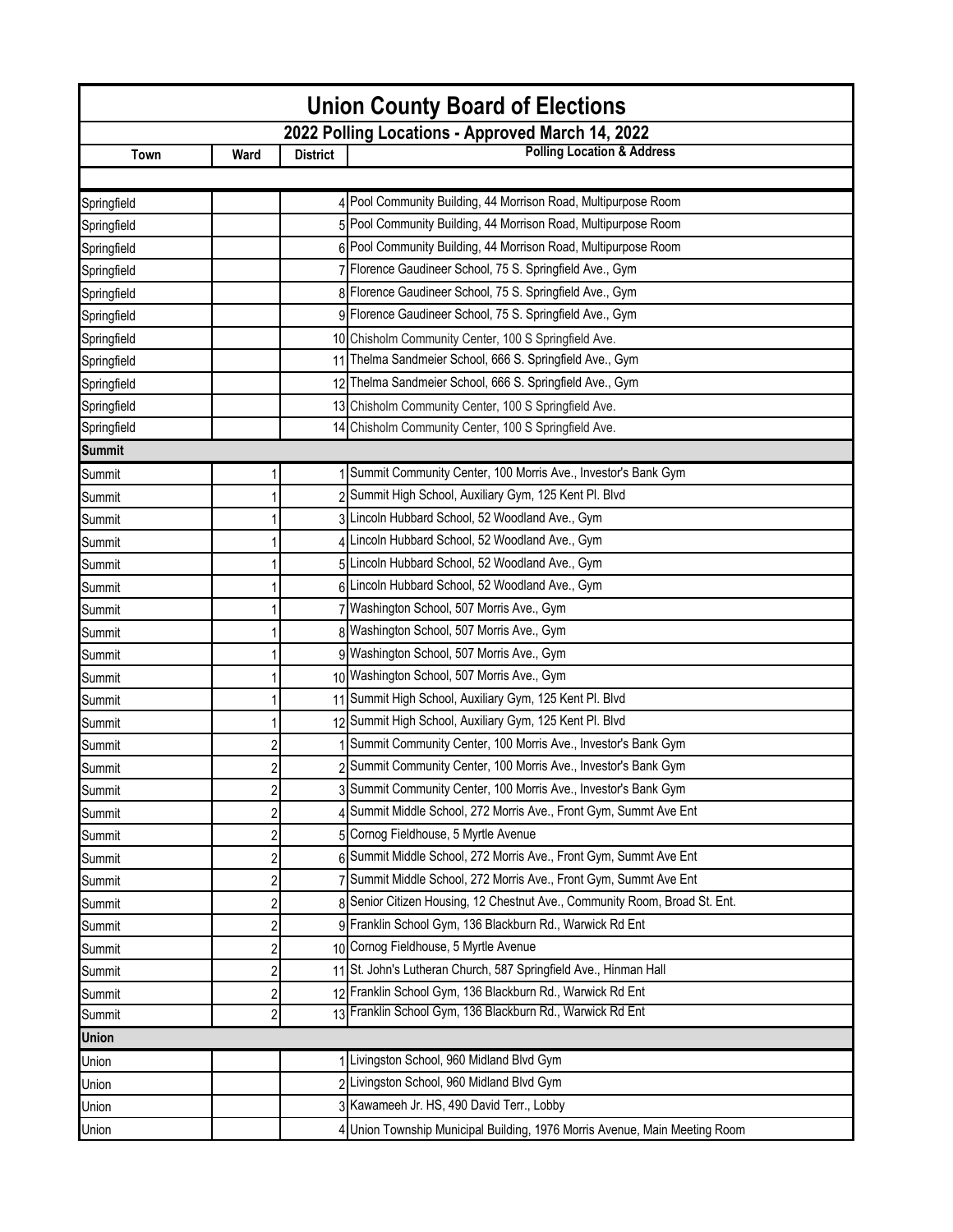| <b>Union County Board of Elections</b> |                         |                 |                                                                            |  |  |  |
|----------------------------------------|-------------------------|-----------------|----------------------------------------------------------------------------|--|--|--|
|                                        |                         |                 | 2022 Polling Locations - Approved March 14, 2022                           |  |  |  |
| Town                                   | Ward                    | <b>District</b> | <b>Polling Location &amp; Address</b>                                      |  |  |  |
|                                        |                         |                 |                                                                            |  |  |  |
| Springfield                            |                         |                 | 4 Pool Community Building, 44 Morrison Road, Multipurpose Room             |  |  |  |
| Springfield                            |                         |                 | 5 Pool Community Building, 44 Morrison Road, Multipurpose Room             |  |  |  |
| Springfield                            |                         |                 | 6 Pool Community Building, 44 Morrison Road, Multipurpose Room             |  |  |  |
| Springfield                            |                         |                 | 7 Florence Gaudineer School, 75 S. Springfield Ave., Gym                   |  |  |  |
| Springfield                            |                         |                 | 8 Florence Gaudineer School, 75 S. Springfield Ave., Gym                   |  |  |  |
| Springfield                            |                         |                 | 9 Florence Gaudineer School, 75 S. Springfield Ave., Gym                   |  |  |  |
| Springfield                            |                         |                 | 10 Chisholm Community Center, 100 S Springfield Ave.                       |  |  |  |
| Springfield                            |                         |                 | 11 Thelma Sandmeier School, 666 S. Springfield Ave., Gym                   |  |  |  |
| Springfield                            |                         |                 | 12 Thelma Sandmeier School, 666 S. Springfield Ave., Gym                   |  |  |  |
| Springfield                            |                         |                 | 13 Chisholm Community Center, 100 S Springfield Ave.                       |  |  |  |
| Springfield                            |                         |                 | 14 Chisholm Community Center, 100 S Springfield Ave.                       |  |  |  |
| <b>Summit</b>                          |                         |                 |                                                                            |  |  |  |
| Summit                                 |                         |                 | Summit Community Center, 100 Morris Ave., Investor's Bank Gym              |  |  |  |
| Summit                                 |                         |                 | 2 Summit High School, Auxiliary Gym, 125 Kent Pl. Blvd                     |  |  |  |
| Summit                                 |                         |                 | 3 Lincoln Hubbard School, 52 Woodland Ave., Gym                            |  |  |  |
| Summit                                 |                         |                 | 4 Lincoln Hubbard School, 52 Woodland Ave., Gym                            |  |  |  |
| Summit                                 |                         |                 | 5 Lincoln Hubbard School, 52 Woodland Ave., Gym                            |  |  |  |
| Summit                                 |                         |                 | 6 Lincoln Hubbard School, 52 Woodland Ave., Gym                            |  |  |  |
| Summit                                 |                         |                 | 7 Washington School, 507 Morris Ave., Gym                                  |  |  |  |
| Summit                                 |                         |                 | 8 Washington School, 507 Morris Ave., Gym                                  |  |  |  |
| Summit                                 |                         |                 | 9 Washington School, 507 Morris Ave., Gym                                  |  |  |  |
| Summit                                 |                         |                 | 10 Washington School, 507 Morris Ave., Gym                                 |  |  |  |
| Summit                                 |                         |                 | 11 Summit High School, Auxiliary Gym, 125 Kent Pl. Blvd                    |  |  |  |
| Summit                                 |                         |                 | 12 Summit High School, Auxiliary Gym, 125 Kent Pl. Blvd                    |  |  |  |
| Summit                                 | 2                       |                 | Summit Community Center, 100 Morris Ave., Investor's Bank Gym              |  |  |  |
| Summit                                 | 2                       |                 | 2 Summit Community Center, 100 Morris Ave., Investor's Bank Gym            |  |  |  |
| Summit                                 | 2                       |                 | 3 Summit Community Center, 100 Morris Ave., Investor's Bank Gym            |  |  |  |
| Summit                                 | $\overline{\mathbf{c}}$ |                 | 4 Summit Middle School, 272 Morris Ave., Front Gym, Summt Ave Ent          |  |  |  |
| Summit                                 | 2                       |                 | 5 Cornog Fieldhouse, 5 Myrtle Avenue                                       |  |  |  |
| Summit                                 | 2                       |                 | 6 Summit Middle School, 272 Morris Ave., Front Gym, Summt Ave Ent          |  |  |  |
| Summit                                 | 2                       |                 | 7 Summit Middle School, 272 Morris Ave., Front Gym, Summt Ave Ent          |  |  |  |
| Summit                                 | 2                       |                 | 8 Senior Citizen Housing, 12 Chestnut Ave., Community Room, Broad St. Ent. |  |  |  |
| Summit                                 | 2                       |                 | 9 Franklin School Gym, 136 Blackburn Rd., Warwick Rd Ent                   |  |  |  |
| Summit                                 | 2                       |                 | 10 Cornog Fieldhouse, 5 Myrtle Avenue                                      |  |  |  |
| Summit                                 | $\overline{c}$          |                 | 11 St. John's Lutheran Church, 587 Springfield Ave., Hinman Hall           |  |  |  |
| Summit                                 | 2                       |                 | 12 Franklin School Gym, 136 Blackburn Rd., Warwick Rd Ent                  |  |  |  |
| Summit                                 | 2                       |                 | 13 Franklin School Gym, 136 Blackburn Rd., Warwick Rd Ent                  |  |  |  |
| <b>Union</b>                           |                         |                 |                                                                            |  |  |  |
| Union                                  |                         |                 | Livingston School, 960 Midland Blvd Gym                                    |  |  |  |
| Union                                  |                         |                 | 2 Livingston School, 960 Midland Blvd Gym                                  |  |  |  |
| Union                                  |                         |                 | 3 Kawameeh Jr. HS, 490 David Terr., Lobby                                  |  |  |  |
| Union                                  |                         |                 | 4 Union Township Municipal Building, 1976 Morris Avenue, Main Meeting Room |  |  |  |
|                                        |                         |                 |                                                                            |  |  |  |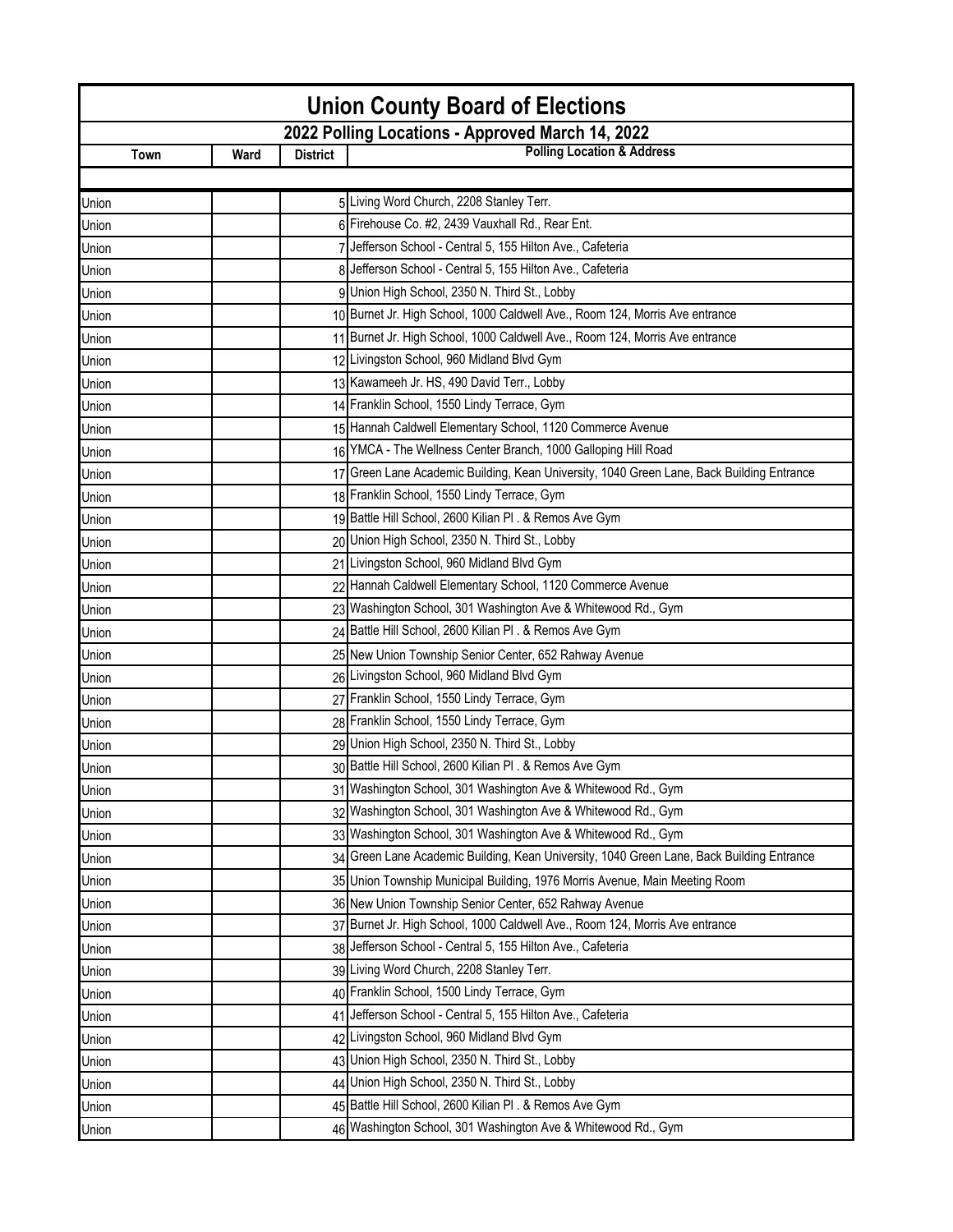| <b>Union County Board of Elections</b> |      |                 |                                                                                           |  |
|----------------------------------------|------|-----------------|-------------------------------------------------------------------------------------------|--|
|                                        |      |                 | 2022 Polling Locations - Approved March 14, 2022                                          |  |
| Town                                   | Ward | <b>District</b> | <b>Polling Location &amp; Address</b>                                                     |  |
|                                        |      |                 |                                                                                           |  |
| Union                                  |      |                 | 5 Living Word Church, 2208 Stanley Terr.                                                  |  |
| Union                                  |      |                 | 6 Firehouse Co. #2, 2439 Vauxhall Rd., Rear Ent.                                          |  |
| Union                                  |      |                 | 7 Jefferson School - Central 5, 155 Hilton Ave., Cafeteria                                |  |
| Union                                  |      |                 | 8 Jefferson School - Central 5, 155 Hilton Ave., Cafeteria                                |  |
| Union                                  |      |                 | 9 Union High School, 2350 N. Third St., Lobby                                             |  |
| Union                                  |      |                 | 10 Burnet Jr. High School, 1000 Caldwell Ave., Room 124, Morris Ave entrance              |  |
| Union                                  |      |                 | 11 Burnet Jr. High School, 1000 Caldwell Ave., Room 124, Morris Ave entrance              |  |
| Union                                  |      |                 | 12 Livingston School, 960 Midland Blvd Gym                                                |  |
| Union                                  |      |                 | 13 Kawameeh Jr. HS, 490 David Terr., Lobby                                                |  |
| Union                                  |      |                 | 14 Franklin School, 1550 Lindy Terrace, Gym                                               |  |
| Union                                  |      |                 | 15 Hannah Caldwell Elementary School, 1120 Commerce Avenue                                |  |
| Union                                  |      |                 | 16 YMCA - The Wellness Center Branch, 1000 Galloping Hill Road                            |  |
| Union                                  |      |                 | 17 Green Lane Academic Building, Kean University, 1040 Green Lane, Back Building Entrance |  |
| Union                                  |      |                 | 18 Franklin School, 1550 Lindy Terrace, Gym                                               |  |
| Union                                  |      |                 | 19 Battle Hill School, 2600 Kilian Pl. & Remos Ave Gym                                    |  |
| Union                                  |      |                 | 20 Union High School, 2350 N. Third St., Lobby                                            |  |
| Union                                  |      |                 | 21 Livingston School, 960 Midland Blvd Gym                                                |  |
| Union                                  |      |                 | 22 Hannah Caldwell Elementary School, 1120 Commerce Avenue                                |  |
| Union                                  |      |                 | 23 Washington School, 301 Washington Ave & Whitewood Rd., Gym                             |  |
| Union                                  |      |                 | 24 Battle Hill School, 2600 Kilian Pl . & Remos Ave Gym                                   |  |
| Union                                  |      |                 | 25 New Union Township Senior Center, 652 Rahway Avenue                                    |  |
| Union                                  |      |                 | 26 Livingston School, 960 Midland Blvd Gym                                                |  |
| Union                                  |      |                 | 27 Franklin School, 1550 Lindy Terrace, Gym                                               |  |
| Union                                  |      |                 | 28 Franklin School, 1550 Lindy Terrace, Gym                                               |  |
| Union                                  |      |                 | 29 Union High School, 2350 N. Third St., Lobby                                            |  |
| Union                                  |      |                 | 30 Battle Hill School, 2600 Kilian PI . & Remos Ave Gym                                   |  |
| Union                                  |      |                 | 31 Washington School, 301 Washington Ave & Whitewood Rd., Gym                             |  |
| Union                                  |      |                 | 32 Washington School, 301 Washington Ave & Whitewood Rd., Gym                             |  |
| Union                                  |      |                 | 33 Washington School, 301 Washington Ave & Whitewood Rd., Gym                             |  |
| Union                                  |      |                 | 34 Green Lane Academic Building, Kean University, 1040 Green Lane, Back Building Entrance |  |
| Union                                  |      |                 | 35 Union Township Municipal Building, 1976 Morris Avenue, Main Meeting Room               |  |
| Union                                  |      |                 | 36 New Union Township Senior Center, 652 Rahway Avenue                                    |  |
| Union                                  |      |                 | 37 Burnet Jr. High School, 1000 Caldwell Ave., Room 124, Morris Ave entrance              |  |
| Union                                  |      |                 | 38 Jefferson School - Central 5, 155 Hilton Ave., Cafeteria                               |  |
| Union                                  |      |                 | 39 Living Word Church, 2208 Stanley Terr.                                                 |  |
| Union                                  |      |                 | 40 Franklin School, 1500 Lindy Terrace, Gym                                               |  |
| Union                                  |      |                 | 41 Jefferson School - Central 5, 155 Hilton Ave., Cafeteria                               |  |
| Union                                  |      |                 | 42 Livingston School, 960 Midland Blvd Gym                                                |  |
| Union                                  |      |                 | 43 Union High School, 2350 N. Third St., Lobby                                            |  |
| Union                                  |      |                 | 44 Union High School, 2350 N. Third St., Lobby                                            |  |
| Union                                  |      |                 | 45 Battle Hill School, 2600 Kilian Pl . & Remos Ave Gym                                   |  |
| Union                                  |      |                 | 46 Washington School, 301 Washington Ave & Whitewood Rd., Gym                             |  |